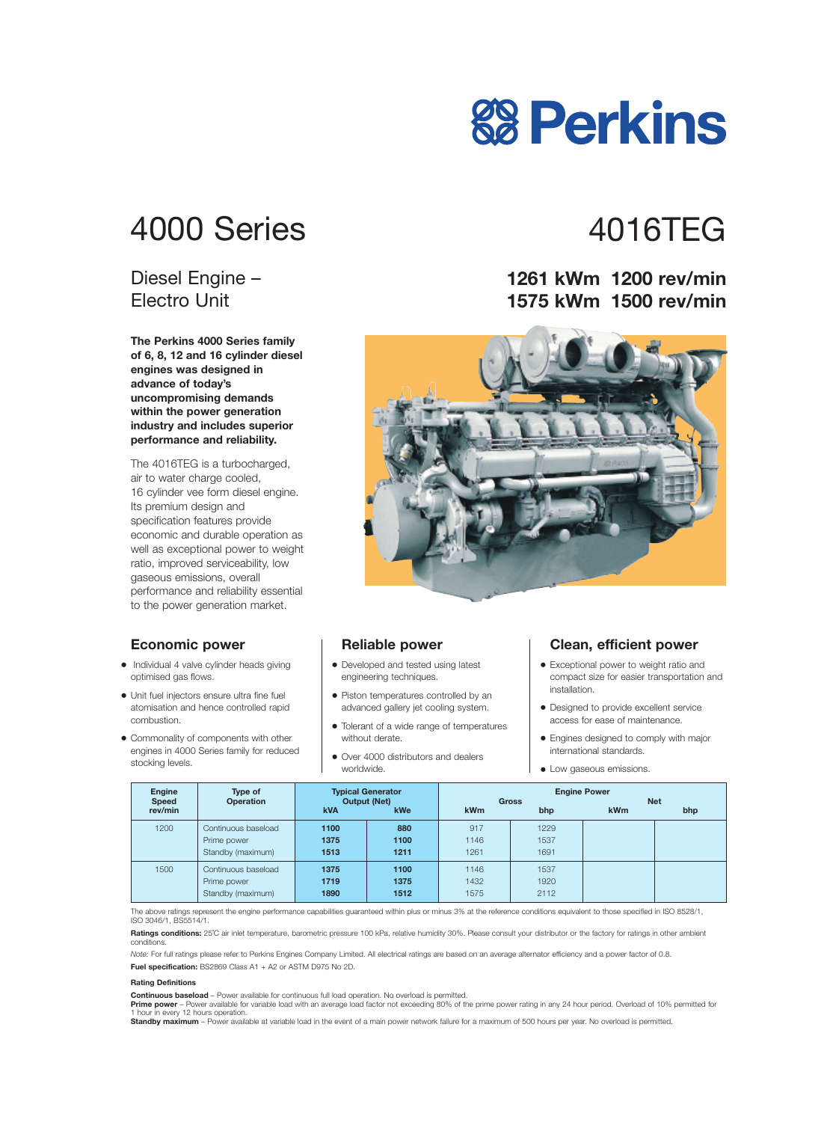# 4000 Series 4016TEG

#### Diesel Engine – Electro Unit

**The Perkins 4000 Series family of 6, 8, 12 and 16 cylinder diesel engines was designed in advance of today's uncompromising demands within the power generation industry and includes superior performance and reliability.**

The 4016TEG is a turbocharged, air to water charge cooled, 16 cylinder vee form diesel engine. Its premium design and specification features provide economic and durable operation as well as exceptional power to weight ratio, improved serviceability, low gaseous emissions, overall performance and reliability essential to the power generation market.

#### **Economic power**

- **•** Individual 4 valve cylinder heads giving optimised gas flows.
- **•** Unit fuel injectors ensure ultra fine fuel atomisation and hence controlled rapid combustion.
- **•** Commonality of components with other engines in 4000 Series family for reduced stocking levels.

#### **Reliable power**

- **•** Developed and tested using latest engineering techniques.
- **•** Piston temperatures controlled by an advanced gallery jet cooling system.
- **•** Tolerant of a wide range of temperatures without derate.
- **•** Over 4000 distributors and dealers worldwide.

#### **Clean, efficient power**

- **•** Exceptional power to weight ratio and compact size for easier transportation and installation.
- **•** Designed to provide excellent service access for ease of maintenance.
- **•** Engines designed to comply with major international standards.
- **•** Low gaseous emissions.

| <b>Engine</b><br><b>Speed</b> | Type of<br><b>Operation</b>                             | <b>Typical Generator</b><br><b>Output (Net)</b> |                      | <b>Engine Power</b><br><b>Net</b><br><b>Gross</b> |                      |            |     |
|-------------------------------|---------------------------------------------------------|-------------------------------------------------|----------------------|---------------------------------------------------|----------------------|------------|-----|
| rev/min                       |                                                         | <b>kVA</b>                                      | <b>kWe</b>           | <b>kWm</b>                                        | bhp                  | <b>kWm</b> | bhp |
| 1200                          | Continuous baseload<br>Prime power<br>Standby (maximum) | 1100<br>1375<br>1513                            | 880<br>1100<br>1211  | 917<br>1146<br>1261                               | 1229<br>1537<br>1691 |            |     |
| 1500                          | Continuous baseload<br>Prime power<br>Standby (maximum) | 1375<br>1719<br>1890                            | 1100<br>1375<br>1512 | 1146<br>1432<br>1575                              | 1537<br>1920<br>2112 |            |     |

The above ratings represent the engine performance capabilities guaranteed within plus or minus 3% at the reference conditions equivalent to those specified in ISO 8528/1, ISO 3046/1, BS5514/1.

**Ratings conditions:** 25°C air inlet temperature, barometric pressure 100 kPa, relative humidity 30%. Please consult your distributor or the factory for ratings in other ambient conditions.

*Note:* For full ratings please refer to Perkins Engines Company Limited. All electrical ratings are based on an average alternator efficiency and a power factor of 0.8. **Fuel specification:** BS2869 Class A1 + A2 or ASTM D975 No 2D.

#### **Rating Definitions**

**Continuous baseload** – Power available for continuous full load operation. No overload is permitted.

Prime power - Power available for variable load with an average load factor not exceeding 80% of the prime power rating in any 24 hour period. Overload of 10% permitted for 1 hour in every 12 hours operation.

**Standby maximum** – Power available at variable load in the event of a main power network failure for a maximum of 500 hours per year. No overload is permitted.

#### **1261 kWm 1200 rev/min 1575 kWm 1500 rev/min**



# **88 Perkins**